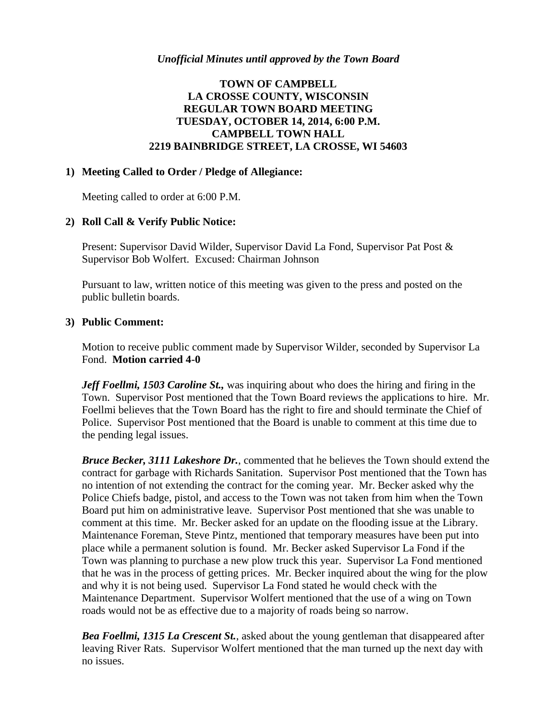### *Unofficial Minutes until approved by the Town Board*

# **TOWN OF CAMPBELL LA CROSSE COUNTY, WISCONSIN REGULAR TOWN BOARD MEETING TUESDAY, OCTOBER 14, 2014, 6:00 P.M. CAMPBELL TOWN HALL 2219 BAINBRIDGE STREET, LA CROSSE, WI 54603**

### **1) Meeting Called to Order / Pledge of Allegiance:**

Meeting called to order at 6:00 P.M.

### **2) Roll Call & Verify Public Notice:**

Present: Supervisor David Wilder, Supervisor David La Fond, Supervisor Pat Post & Supervisor Bob Wolfert. Excused: Chairman Johnson

Pursuant to law, written notice of this meeting was given to the press and posted on the public bulletin boards.

#### **3) Public Comment:**

Motion to receive public comment made by Supervisor Wilder, seconded by Supervisor La Fond. **Motion carried 4-0**

*Jeff Foellmi, 1503 Caroline St.,* was inquiring about who does the hiring and firing in the Town. Supervisor Post mentioned that the Town Board reviews the applications to hire. Mr. Foellmi believes that the Town Board has the right to fire and should terminate the Chief of Police. Supervisor Post mentioned that the Board is unable to comment at this time due to the pending legal issues.

*Bruce Becker, 3111 Lakeshore Dr.*, commented that he believes the Town should extend the contract for garbage with Richards Sanitation. Supervisor Post mentioned that the Town has no intention of not extending the contract for the coming year. Mr. Becker asked why the Police Chiefs badge, pistol, and access to the Town was not taken from him when the Town Board put him on administrative leave. Supervisor Post mentioned that she was unable to comment at this time. Mr. Becker asked for an update on the flooding issue at the Library. Maintenance Foreman, Steve Pintz, mentioned that temporary measures have been put into place while a permanent solution is found. Mr. Becker asked Supervisor La Fond if the Town was planning to purchase a new plow truck this year. Supervisor La Fond mentioned that he was in the process of getting prices. Mr. Becker inquired about the wing for the plow and why it is not being used. Supervisor La Fond stated he would check with the Maintenance Department. Supervisor Wolfert mentioned that the use of a wing on Town roads would not be as effective due to a majority of roads being so narrow.

*Bea Foellmi, 1315 La Crescent St.*, asked about the young gentleman that disappeared after leaving River Rats. Supervisor Wolfert mentioned that the man turned up the next day with no issues.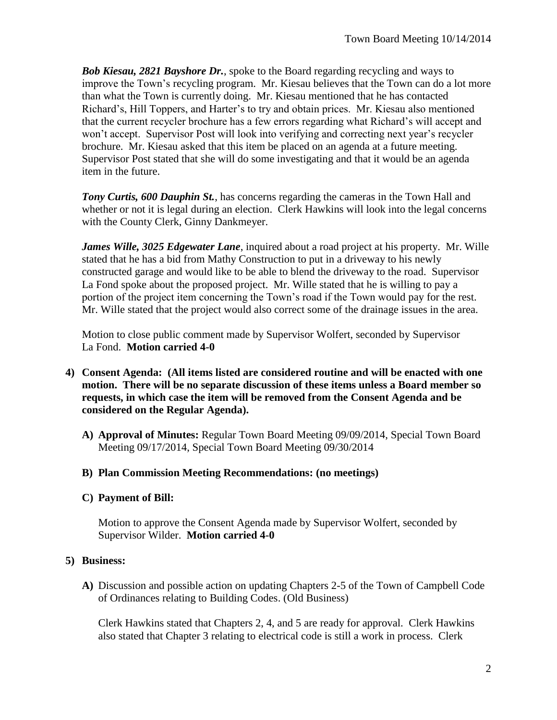*Bob Kiesau, 2821 Bayshore Dr.*, spoke to the Board regarding recycling and ways to improve the Town's recycling program. Mr. Kiesau believes that the Town can do a lot more than what the Town is currently doing. Mr. Kiesau mentioned that he has contacted Richard's, Hill Toppers, and Harter's to try and obtain prices. Mr. Kiesau also mentioned that the current recycler brochure has a few errors regarding what Richard's will accept and won't accept. Supervisor Post will look into verifying and correcting next year's recycler brochure. Mr. Kiesau asked that this item be placed on an agenda at a future meeting. Supervisor Post stated that she will do some investigating and that it would be an agenda item in the future.

*Tony Curtis, 600 Dauphin St.*, has concerns regarding the cameras in the Town Hall and whether or not it is legal during an election. Clerk Hawkins will look into the legal concerns with the County Clerk, Ginny Dankmeyer.

*James Wille, 3025 Edgewater Lane*, inquired about a road project at his property. Mr. Wille stated that he has a bid from Mathy Construction to put in a driveway to his newly constructed garage and would like to be able to blend the driveway to the road. Supervisor La Fond spoke about the proposed project. Mr. Wille stated that he is willing to pay a portion of the project item concerning the Town's road if the Town would pay for the rest. Mr. Wille stated that the project would also correct some of the drainage issues in the area.

Motion to close public comment made by Supervisor Wolfert, seconded by Supervisor La Fond. **Motion carried 4-0**

- **4) Consent Agenda: (All items listed are considered routine and will be enacted with one motion. There will be no separate discussion of these items unless a Board member so requests, in which case the item will be removed from the Consent Agenda and be considered on the Regular Agenda).**
	- **A) Approval of Minutes:** Regular Town Board Meeting 09/09/2014, Special Town Board Meeting 09/17/2014, Special Town Board Meeting 09/30/2014

## **B) Plan Commission Meeting Recommendations: (no meetings)**

## **C) Payment of Bill:**

Motion to approve the Consent Agenda made by Supervisor Wolfert, seconded by Supervisor Wilder. **Motion carried 4-0**

## **5) Business:**

**A)** Discussion and possible action on updating Chapters 2-5 of the Town of Campbell Code of Ordinances relating to Building Codes. (Old Business)

Clerk Hawkins stated that Chapters 2, 4, and 5 are ready for approval. Clerk Hawkins also stated that Chapter 3 relating to electrical code is still a work in process. Clerk